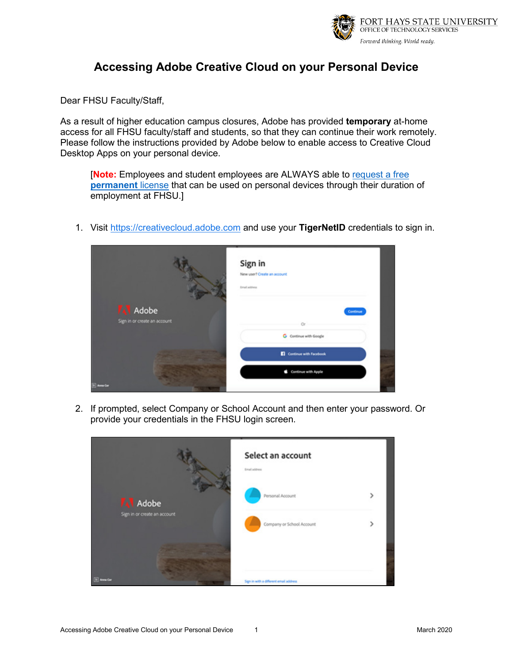

## **Accessing Adobe Creative Cloud on your Personal Device**

Dear FHSU Faculty/Staff,

As a result of higher education campus closures, Adobe has provided **temporary** at-home access for all FHSU faculty/staff and students, so that they can continue their work remotely. Please follow the instructions provided by Adobe below to enable access to Creative Cloud Desktop Apps on your personal device.

[**Note:** Employees and student employees are ALWAYS able to [request a free](#page-2-0)  **[permanent](#page-2-0)** license that can be used on personal devices through their duration of employment at FHSU.]

1. Visit [https://creativecloud.adobe.com](https://creativecloud.adobe.com/) and use your **TigerNetID** credentials to sign in.



2. If prompted, select Company or School Account and then enter your password. Or provide your credentials in the FHSU login screen.

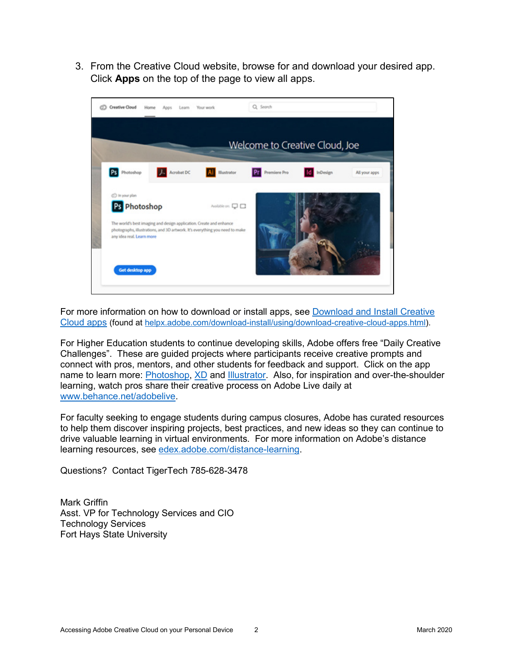3. From the Creative Cloud website, browse for and download your desired app. Click **Apps** on the top of the page to view all apps.



For more information on how to download or install apps, see [Download and Install Creative](https://helpx.adobe.com/download-install/using/download-creative-cloud-apps.html)  [Cloud apps](https://helpx.adobe.com/download-install/using/download-creative-cloud-apps.html) (found at [helpx.adobe.com/download-install/using/download-creative-cloud-apps.html\)](https://helpx.adobe.com/download-install/using/download-creative-cloud-apps.html).

For Higher Education students to continue developing skills, Adobe offers free "Daily Creative Challenges". These are guided projects where participants receive creative prompts and connect with pros, mentors, and other students for feedback and support. Click on the app name to learn more: [Photoshop,](https://linkprotect.cudasvc.com/url?a=http%3a%2f%2fwww.behance.net%2fchallenge%2fphotoshop&c=E,1,q2KuaKf58LHuKE7frEH5M0xFCdqbyv4_cfSmRELCdurca_H2GxYNxGWN2eGI7fCqcfb4jDrq-LFwGuqoUYvgEyLgJPA5DIZCLgXDRwJfSCw,&typo=1) [XD](https://linkprotect.cudasvc.com/url?a=http%3a%2f%2fwww.behance.net%2fchallenge%2fxd&c=E,1,hh02Ts-8HfSELzGuqSYpnlV3eZxwsFRtee1-2JBVieeNaGBAQm57CLJ0KPBpJ8r_Fg7IIwcBxuwacfq1e_0dScjnH5MNiT-pkrD0ycsy&typo=1) and [Illustrator.](https://linkprotect.cudasvc.com/url?a=http%3a%2f%2fwww.behance.net%2fchallenge%2fillustrator&c=E,1,V3yLwyiEp4SoQbjpb5-dIkFuoEELkjaSycsYuHxdBu857SCR1ZX5uEHaoUO8pPLz2BNF1ezHZ1d1_GrylfzsPrUgNgxmDPupu7yzIEWhgNK7-GIt&typo=1) Also, for inspiration and over-the-shoulder learning, watch pros share their creative process on Adobe Live daily at [www.behance.net/adobelive.](https://linkprotect.cudasvc.com/url?a=http%3a%2f%2fwww.behance.net%2fadobelive&c=E,1,P_j2RRTtVztFwfJZ8E6HJ-FETmPM_IoICuzXsnpcxvZRgFQTpG0myiwL_ApmFk5KjRZb80tHXvKC9urACJDsHt8jksYbMALX5aTqTYzPeCnUVrdmvBbS6jRL5g,,&typo=1)

For faculty seeking to engage students during campus closures, Adobe has curated resources to help them discover inspiring projects, best practices, and new ideas so they can continue to drive valuable learning in virtual environments. For more information on Adobe's distance learning resources, see [edex.adobe.com/distance-learning.](https://edex.adobe.com/distance-learning)

Questions? Contact TigerTech 785-628-3478

Mark Griffin Asst. VP for Technology Services and CIO Technology Services Fort Hays State University